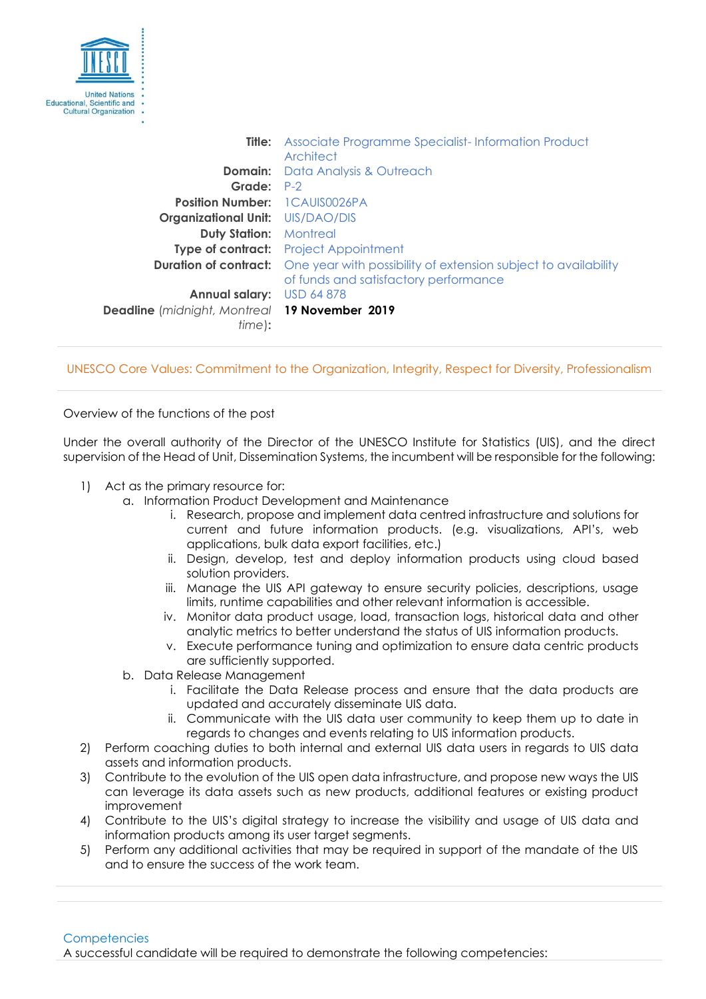

**Title:** Associate Programme Specialist-Information Product **Architect Domain:** Data Analysis & Outreach **Grade:** P-2 **Position Number:** 1CAUIS0026PA **Organizational Unit:** UIS/DAO/DIS **Duty Station:** Montreal **Type of contract:** Project Appointment **Duration of contract:** One year with possibility of extension subject to availability of funds and satisfactory performance **Annual salary:** USD 64 878 **Deadline** (*midnight, Montreal* **19 November 2019** *time*)**:**

UNESCO Core Values: Commitment to the Organization, Integrity, Respect for Diversity, Professionalism

Overview of the functions of the post

Under the overall authority of the Director of the UNESCO Institute for Statistics (UIS), and the direct supervision of the Head of Unit, Dissemination Systems, the incumbent will be responsible for the following:

- 1) Act as the primary resource for:
	- a. Information Product Development and Maintenance
		- i. Research, propose and implement data centred infrastructure and solutions for current and future information products. (e.g. visualizations, API's, web applications, bulk data export facilities, etc.)
		- ii. Design, develop, test and deploy information products using cloud based solution providers.
		- iii. Manage the UIS API gateway to ensure security policies, descriptions, usage limits, runtime capabilities and other relevant information is accessible.
		- iv. Monitor data product usage, load, transaction logs, historical data and other analytic metrics to better understand the status of UIS information products.
		- v. Execute performance tuning and optimization to ensure data centric products are sufficiently supported.
	- b. Data Release Management
		- i. Facilitate the Data Release process and ensure that the data products are updated and accurately disseminate UIS data.
		- ii. Communicate with the UIS data user community to keep them up to date in regards to changes and events relating to UIS information products.
- 2) Perform coaching duties to both internal and external UIS data users in regards to UIS data assets and information products.
- 3) Contribute to the evolution of the UIS open data infrastructure, and propose new ways the UIS can leverage its data assets such as new products, additional features or existing product improvement
- 4) Contribute to the UIS's digital strategy to increase the visibility and usage of UIS data and information products among its user target segments.
- 5) Perform any additional activities that may be required in support of the mandate of the UIS and to ensure the success of the work team.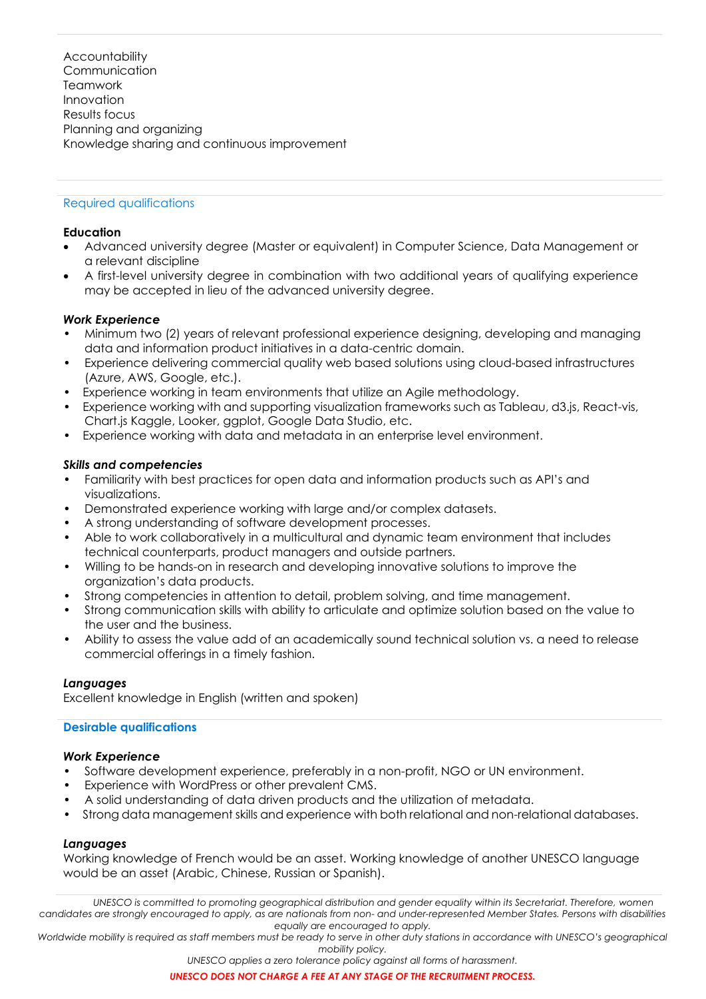**Accountability Communication Teamwork** Innovation Results focus Planning and organizing Knowledge sharing and continuous improvement

# Required qualifications

## **Education**

- Advanced university degree (Master or equivalent) in Computer Science, Data Management or a relevant discipline
- A first-level university degree in combination with two additional years of qualifying experience may be accepted in lieu of the advanced university degree.

## *Work Experience*

- Minimum two (2) years of relevant professional experience designing, developing and managing data and information product initiatives in a data-centric domain.
- Experience delivering commercial quality web based solutions using cloud-based infrastructures (Azure, AWS, Google, etc.).
- Experience working in team environments that utilize an Agile methodology.
- Experience working with and supporting visualization frameworks such as Tableau, d3.js, React-vis, Chart.js Kaggle, Looker, ggplot, Google Data Studio, etc.
- Experience working with data and metadata in an enterprise level environment.

### *Skills and competencies*

- Familiarity with best practices for open data and information products such as API's and visualizations.
- Demonstrated experience working with large and/or complex datasets.
- A strong understanding of software development processes.
- Able to work collaboratively in a multicultural and dynamic team environment that includes technical counterparts, product managers and outside partners.
- Willing to be hands-on in research and developing innovative solutions to improve the organization's data products.
- Strong competencies in attention to detail, problem solving, and time management.
- Strong communication skills with ability to articulate and optimize solution based on the value to the user and the business.
- Ability to assess the value add of an academically sound technical solution vs. a need to release commercial offerings in a timely fashion.

#### *Languages*

Excellent knowledge in English (written and spoken)

#### **Desirable qualifications**

#### *Work Experience*

- Software development experience, preferably in a non-profit, NGO or UN environment.
- Experience with WordPress or other prevalent CMS.
- A solid understanding of data driven products and the utilization of metadata.
- Strong data management skills and experience with both relational and non-relational databases.

## *Languages*

Working knowledge of French would be an asset. Working knowledge of another UNESCO language would be an asset (Arabic, Chinese, Russian or Spanish).

*UNESCO is committed to promoting geographical distribution and gender equality within its Secretariat. Therefore, women candidates are strongly encouraged to apply, as are nationals from non- and under-represented Member States. Persons with disabilities equally are encouraged to apply.*

*Worldwide mobility is required as staff members must be ready to serve in other duty stations in accordance with UNESCO's geographical mobility policy.*

*UNESCO applies a zero tolerance policy against all forms of harassment.*